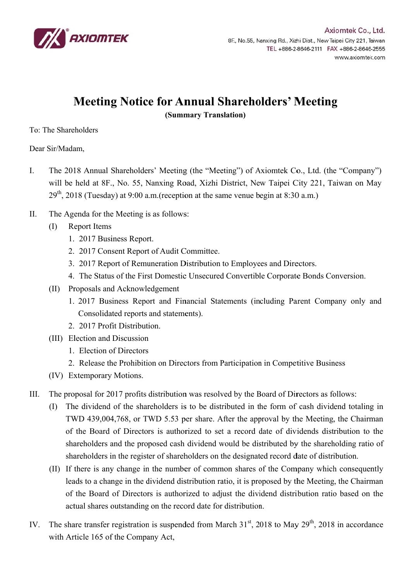

## **Meeting Notice for Annual Shareholders' Meeting**

(Summary Translation)

To: The Shareholders

Dear Sir/Madam.

- $\overline{I}$ . The 2018 Annual Shareholders' Meeting (the "Meeting") of Axiomtek Co., Ltd. (the "Company") will be held at 8F., No. 55, Nanxing Road, Xizhi District, New Taipei City 221, Taiwan on May  $29<sup>th</sup>$ , 2018 (Tuesday) at 9:00 a.m. (reception at the same venue begin at 8:30 a.m.)
- $\Pi$ . The Agenda for the Meeting is as follows:
	- **Report Items**  $(1)$ 
		- 1. 2017 Business Report.
		- 2. 2017 Consent Report of Audit Committee.
		- 3. 2017 Report of Remuneration Distribution to Employees and Directors.
		- 4. The Status of the First Domestic Unsecured Convertible Corporate Bonds Conversion.
	- (II) Proposals and Acknowledgement
		- 1. 2017 Business Report and Financial Statements (including Parent Company only and Consolidated reports and statements).
		- 2. 2017 Profit Distribution
	- (III) Election and Discussion
		- 1. Election of Directors
		- 2. Release the Prohibition on Directors from Participation in Competitive Business
	- (IV) Extemporary Motions.
- The proposal for 2017 profits distribution was resolved by the Board of Directors as follows:  $III.$ 
	- (I) The dividend of the shareholders is to be distributed in the form of cash dividend totaling in TWD 439,004,768, or TWD 5.53 per share. After the approval by the Meeting, the Chairman of the Board of Directors is authorized to set a record date of dividends distribution to the shareholders and the proposed cash dividend would be distributed by the shareholding ratio of shareholders in the register of shareholders on the designated record date of distribution.
	- (II) If there is any change in the number of common shares of the Company which consequently leads to a change in the dividend distribution ratio, it is proposed by the Meeting, the Chairman of the Board of Directors is authorized to adjust the dividend distribution ratio based on the actual shares outstanding on the record date for distribution.
- The share transfer registration is suspended from March  $31<sup>st</sup>$ , 2018 to May  $29<sup>th</sup>$ , 2018 in accordance  $IV_{-}$ with Article 165 of the Company Act,